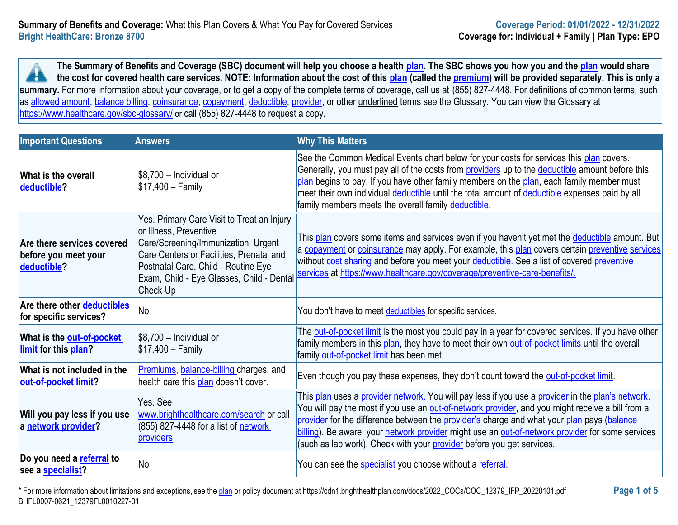**The Summary of Benefits and Coverage (SBC) document will help you choose a health [plan.](https://www.healthcare.gov/sbc-glossary/#plan) The SBC shows you how you and the [plan](https://www.healthcare.gov/sbc-glossary/#plan) would share the cost for covered health care services. NOTE: Information about the cost of this [plan](https://www.healthcare.gov/sbc-glossary/#plan) (called the [premium\)](https://www.healthcare.gov/sbc-glossary/#premium) will be provided separately. This is only a**  x summary. For more information about your coverage, or to get a copy of the complete terms of coverage, call us at (855) 827-4448. For definitions of common terms, such as [allowed amount,](https://www.healthcare.gov/sbc-glossary/#allowed-amount) [balance billing,](https://www.healthcare.gov/sbc-glossary/#balance-billing) [coinsurance,](https://www.healthcare.gov/sbc-glossary/#coinsurance) [copayment,](https://www.healthcare.gov/sbc-glossary/#copayment) [deductible,](https://www.healthcare.gov/sbc-glossary/#deductible) [provider,](https://www.healthcare.gov/sbc-glossary/#provider) or other underlined terms see the Glossary. You can view the Glossary at <https://www.healthcare.gov/sbc-glossary/> or call (855) 827-4448 to request a copy.

| <b>Important Questions</b>                                        | <b>Answers</b>                                                                                                                                                                                                                                          | <b>Why This Matters</b>                                                                                                                                                                                                                                                                                                                                                                                                                                                          |
|-------------------------------------------------------------------|---------------------------------------------------------------------------------------------------------------------------------------------------------------------------------------------------------------------------------------------------------|----------------------------------------------------------------------------------------------------------------------------------------------------------------------------------------------------------------------------------------------------------------------------------------------------------------------------------------------------------------------------------------------------------------------------------------------------------------------------------|
| <b>What is the overall</b><br>deductible?                         | \$8,700 - Individual or<br>$$17,400 - Family$                                                                                                                                                                                                           | See the Common Medical Events chart below for your costs for services this plan covers.<br>Generally, you must pay all of the costs from providers up to the deductible amount before this<br>plan begins to pay. If you have other family members on the plan, each family member must<br>meet their own individual deductible until the total amount of deductible expenses paid by all<br>family members meets the overall family deductible.                                 |
| Are there services covered<br>before you meet your<br>deductible? | Yes. Primary Care Visit to Treat an Injury<br>or Illness, Preventive<br>Care/Screening/Immunization, Urgent<br>Care Centers or Facilities, Prenatal and<br>Postnatal Care, Child - Routine Eye<br>Exam, Child - Eye Glasses, Child - Dental<br>Check-Up | This plan covers some items and services even if you haven't yet met the <b>deductible</b> amount. But<br>a copayment or coinsurance may apply. For example, this plan covers certain preventive services<br>without cost sharing and before you meet your deductible. See a list of covered preventive<br>services at https://www.healthcare.gov/coverage/preventive-care-benefits/.                                                                                            |
| Are there other deductibles<br>for specific services?             | No                                                                                                                                                                                                                                                      | You don't have to meet deductibles for specific services.                                                                                                                                                                                                                                                                                                                                                                                                                        |
| What is the <b>out-of-pocket</b><br><b>limit</b> for this plan?   | \$8,700 - Individual or<br>$$17,400 - Family$                                                                                                                                                                                                           | The out-of-pocket limit is the most you could pay in a year for covered services. If you have other<br>family members in this plan, they have to meet their own out-of-pocket limits until the overall<br>family out-of-pocket limit has been met.                                                                                                                                                                                                                               |
| What is not included in the<br>out-of-pocket limit?               | Premiums, balance-billing charges, and<br>health care this plan doesn't cover.                                                                                                                                                                          | Even though you pay these expenses, they don't count toward the out-of-pocket limit.                                                                                                                                                                                                                                                                                                                                                                                             |
| Will you pay less if you use<br>a network provider?               | Yes. See<br>www.brighthealthcare.com/search or call<br>(855) 827-4448 for a list of network<br>providers.                                                                                                                                               | This plan uses a provider network. You will pay less if you use a provider in the plan's network.<br>You will pay the most if you use an out-of-network provider, and you might receive a bill from a<br>provider for the difference between the provider's charge and what your plan pays (balance<br>billing). Be aware, your network provider might use an out-of-network provider for some services<br>(such as lab work). Check with your provider before you get services. |
| Do you need a referral to<br>see a <b>specialist</b> ?            | No                                                                                                                                                                                                                                                      | You can see the specialist you choose without a referral.                                                                                                                                                                                                                                                                                                                                                                                                                        |

\* For more information about limitations and exceptions, see the [plan](https://www.healthcare.gov/sbc-glossary/#plan) or policy document at https://cdn1.brighthealthplan.com/docs/2022\_COCs/COC\_12379\_IFP\_20220101.pdf **Page 1 of 5** BHFL0007-0621\_12379FL0010227-01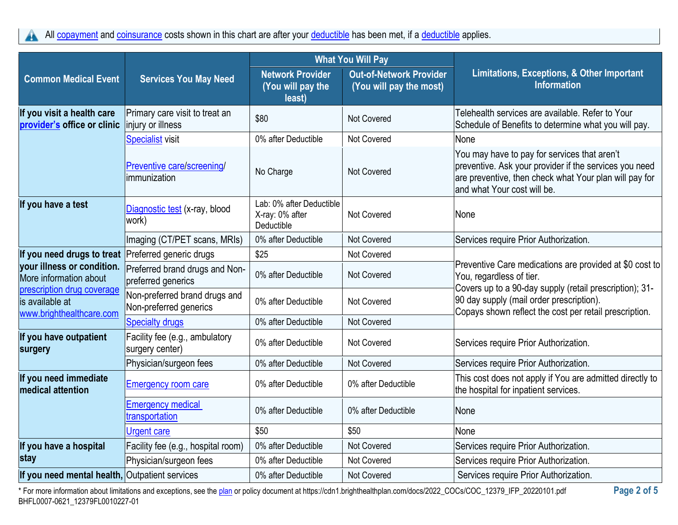All [copayment](https://www.healthcare.gov/sbc-glossary/#copayment) and [coinsurance](https://www.healthcare.gov/sbc-glossary/#coinsurance) costs shown in this chart are after your [deductible](https://www.healthcare.gov/sbc-glossary/#deductible) has been met, if a deductible applies. A

|                                                                           |                                                         | <b>What You Will Pay</b>                                  |                                                           |                                                                                                                                                                                                 |
|---------------------------------------------------------------------------|---------------------------------------------------------|-----------------------------------------------------------|-----------------------------------------------------------|-------------------------------------------------------------------------------------------------------------------------------------------------------------------------------------------------|
| <b>Common Medical Event</b>                                               | <b>Services You May Need</b>                            | <b>Network Provider</b><br>(You will pay the<br>least)    | <b>Out-of-Network Provider</b><br>(You will pay the most) | Limitations, Exceptions, & Other Important<br><b>Information</b>                                                                                                                                |
| If you visit a health care<br>provider's office or clinic                 | Primary care visit to treat an<br>injury or illness     | \$80                                                      | <b>Not Covered</b>                                        | Telehealth services are available. Refer to Your<br>Schedule of Benefits to determine what you will pay.                                                                                        |
|                                                                           | <b>Specialist visit</b>                                 | 0% after Deductible                                       | <b>Not Covered</b>                                        | None                                                                                                                                                                                            |
|                                                                           | Preventive care/screening/<br>immunization              | No Charge                                                 | Not Covered                                               | You may have to pay for services that aren't<br>preventive. Ask your provider if the services you need<br>are preventive, then check what Your plan will pay for<br>and what Your cost will be. |
| If you have a test                                                        | Diagnostic test (x-ray, blood<br>work)                  | Lab: 0% after Deductible<br>X-ray: 0% after<br>Deductible | <b>Not Covered</b>                                        | None                                                                                                                                                                                            |
|                                                                           | Imaging (CT/PET scans, MRIs)                            | 0% after Deductible                                       | Not Covered                                               | Services require Prior Authorization.                                                                                                                                                           |
| If you need drugs to treat                                                | Preferred generic drugs                                 | \$25                                                      | <b>Not Covered</b>                                        | Preventive Care medications are provided at \$0 cost to<br>You, regardless of tier.                                                                                                             |
| your illness or condition.<br>More information about                      | Preferred brand drugs and Non-<br>preferred generics    | 0% after Deductible                                       | <b>Not Covered</b>                                        |                                                                                                                                                                                                 |
| prescription drug coverage<br>is available at<br>www.brighthealthcare.com | Non-preferred brand drugs and<br>Non-preferred generics | 0% after Deductible                                       | <b>Not Covered</b>                                        | Covers up to a 90-day supply (retail prescription); 31-<br>90 day supply (mail order prescription).<br>Copays shown reflect the cost per retail prescription.                                   |
|                                                                           | <b>Specialty drugs</b>                                  | 0% after Deductible                                       | Not Covered                                               |                                                                                                                                                                                                 |
| If you have outpatient<br>surgery                                         | Facility fee (e.g., ambulatory<br>surgery center)       | 0% after Deductible                                       | <b>Not Covered</b>                                        | Services require Prior Authorization.                                                                                                                                                           |
|                                                                           | Physician/surgeon fees                                  | 0% after Deductible                                       | <b>Not Covered</b>                                        | Services require Prior Authorization.                                                                                                                                                           |
| If you need immediate<br><b>medical attention</b>                         | <b>Emergency room care</b>                              | 0% after Deductible                                       | 0% after Deductible                                       | This cost does not apply if You are admitted directly to<br>the hospital for inpatient services.                                                                                                |
|                                                                           | <b>Emergency medical</b><br>transportation              | 0% after Deductible                                       | 0% after Deductible                                       | None                                                                                                                                                                                            |
|                                                                           | <b>Urgent care</b>                                      | \$50                                                      | \$50                                                      | None                                                                                                                                                                                            |
| If you have a hospital                                                    | Facility fee (e.g., hospital room)                      | 0% after Deductible                                       | Not Covered                                               | Services require Prior Authorization.                                                                                                                                                           |
| stay                                                                      | Physician/surgeon fees                                  | 0% after Deductible                                       | Not Covered                                               | Services require Prior Authorization.                                                                                                                                                           |
| If you need mental health, Outpatient services                            |                                                         | 0% after Deductible                                       | Not Covered                                               | Services require Prior Authorization.                                                                                                                                                           |

\* For more information about limitations and exceptions, see the [plan](https://www.healthcare.gov/sbc-glossary/#plan) or policy document at https://cdn1.brighthealthplan.com/docs/2022\_COCs/COC\_12379\_IFP\_20220101.pdf **Page 2 of 5** BHFL0007-0621\_12379FL0010227-01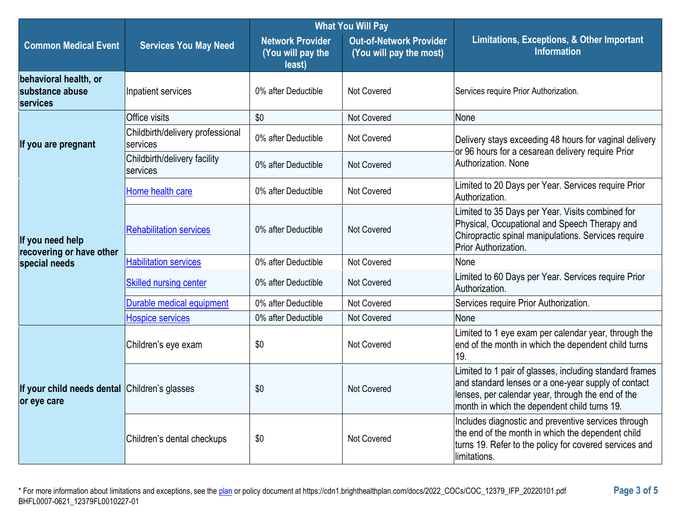|                                                              |                                              | <b>What You Will Pay</b>                               |                                                           |                                                                                                                                                                                                                     |
|--------------------------------------------------------------|----------------------------------------------|--------------------------------------------------------|-----------------------------------------------------------|---------------------------------------------------------------------------------------------------------------------------------------------------------------------------------------------------------------------|
| <b>Common Medical Event</b>                                  | <b>Services You May Need</b>                 | <b>Network Provider</b><br>(You will pay the<br>least) | <b>Out-of-Network Provider</b><br>(You will pay the most) | Limitations, Exceptions, & Other Important<br><b>Information</b>                                                                                                                                                    |
| behavioral health, or<br>substance abuse<br>services         | Inpatient services                           | 0% after Deductible                                    | <b>Not Covered</b>                                        | Services require Prior Authorization.                                                                                                                                                                               |
|                                                              | Office visits                                | \$0                                                    | Not Covered                                               | None                                                                                                                                                                                                                |
| If you are pregnant                                          | Childbirth/delivery professional<br>services | 0% after Deductible                                    | <b>Not Covered</b>                                        | Delivery stays exceeding 48 hours for vaginal delivery<br>or 96 hours for a cesarean delivery require Prior                                                                                                         |
|                                                              | Childbirth/delivery facility<br>services     | 0% after Deductible                                    | <b>Not Covered</b>                                        | Authorization, None                                                                                                                                                                                                 |
|                                                              | Home health care                             | 0% after Deductible                                    | Not Covered                                               | Limited to 20 Days per Year. Services require Prior<br>Authorization.                                                                                                                                               |
| If you need help<br>recovering or have other                 | <b>Rehabilitation services</b>               | 0% after Deductible                                    | <b>Not Covered</b>                                        | Limited to 35 Days per Year. Visits combined for<br>Physical, Occupational and Speech Therapy and<br>Chiropractic spinal manipulations. Services require<br>Prior Authorization.                                    |
| special needs                                                | <b>Habilitation services</b>                 | 0% after Deductible                                    | <b>Not Covered</b>                                        | None                                                                                                                                                                                                                |
|                                                              | <b>Skilled nursing center</b>                | 0% after Deductible                                    | <b>Not Covered</b>                                        | Limited to 60 Days per Year. Services require Prior<br>Authorization.                                                                                                                                               |
|                                                              | Durable medical equipment                    | 0% after Deductible                                    | Not Covered                                               | Services require Prior Authorization.                                                                                                                                                                               |
|                                                              | <b>Hospice services</b>                      | 0% after Deductible                                    | <b>Not Covered</b>                                        | None                                                                                                                                                                                                                |
|                                                              | Children's eye exam                          | \$0                                                    | <b>Not Covered</b>                                        | Limited to 1 eye exam per calendar year, through the<br>end of the month in which the dependent child turns<br>19.                                                                                                  |
| If your child needs dental Children's glasses<br>or eye care |                                              | \$0                                                    | Not Covered                                               | Limited to 1 pair of glasses, including standard frames<br>and standard lenses or a one-year supply of contact<br>lenses, per calendar year, through the end of the<br>month in which the dependent child turns 19. |
|                                                              | Children's dental checkups                   | \$0                                                    | Not Covered                                               | Includes diagnostic and preventive services through<br>the end of the month in which the dependent child<br>turns 19. Refer to the policy for covered services and<br>limitations.                                  |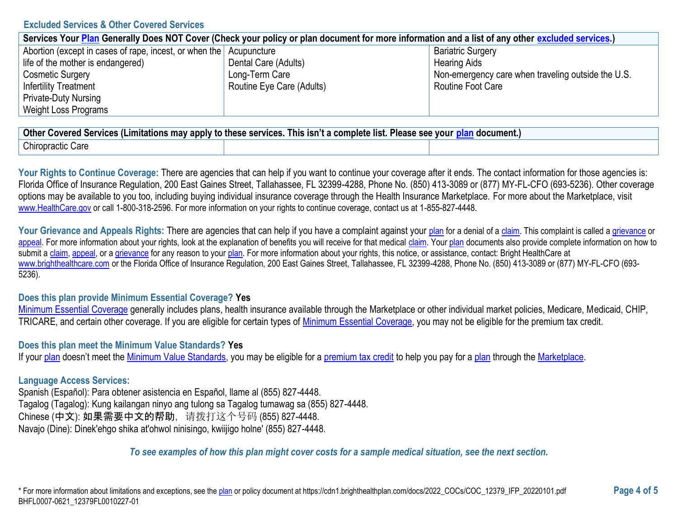### **Excluded Services & Other Covered Services**

| Services Your Plan Generally Does NOT Cover (Check your policy or plan document for more information and a list of any other excluded services.) |                           |                                                    |  |
|--------------------------------------------------------------------------------------------------------------------------------------------------|---------------------------|----------------------------------------------------|--|
| Abortion (except in cases of rape, incest, or when the Acupuncture                                                                               |                           | <b>Bariatric Surgery</b>                           |  |
| life of the mother is endangered)                                                                                                                | Dental Care (Adults)      | <b>Hearing Aids</b>                                |  |
| <b>Cosmetic Surgery</b>                                                                                                                          | Long-Term Care            | Non-emergency care when traveling outside the U.S. |  |
| <b>Infertility Treatment</b>                                                                                                                     | Routine Eye Care (Adults) | Routine Foot Care                                  |  |
| <b>Private-Duty Nursing</b>                                                                                                                      |                           |                                                    |  |
| Weight Loss Programs                                                                                                                             |                           |                                                    |  |

| <b>Other</b><br>l hıs<br>s isn't a complete :<br><u>n document.، </u><br>Covered Services (Limitations may apply to these services.<br>າ list.<br><b>Please</b><br>vour<br>see |  |  |  |
|--------------------------------------------------------------------------------------------------------------------------------------------------------------------------------|--|--|--|
| Chiropractic<br>Care                                                                                                                                                           |  |  |  |

Your Rights to Continue Coverage: There are agencies that can help if you want to continue your coverage after it ends. The contact information for those agencies is: Florida Office of Insurance Regulation, 200 East Gaines Street, Tallahassee, FL 32399-4288, Phone No. (850) 413-3089 or (877) MY-FL-CFO (693-5236). Other coverage options may be available to you too, including buying individual insurance coverage through the Health Insurance Marketplace. For more about the Marketplace, visit [www.HealthCare.gov](https://www.healthcare.gov/) or call 1-800-318-2596. For more information on your rights to continue coverage, contact us at 1-855-827-4448.

Your Grievance and Appeals Rights: There are agencies that can help if you have a complaint against your [plan](https://www.healthcare.gov/sbc-glossary/#plan) for a denial of [a claim.](https://www.healthcare.gov/sbc-glossary/#claim) This complaint is called a [grievance](https://www.healthcare.gov/sbc-glossary/#grievance) or [appeal.](https://www.healthcare.gov/sbc-glossary/#appeal) For more information about your rights, look at the explanation of benefits you will receive for that medical [claim.](https://www.healthcare.gov/sbc-glossary/#claim) You[r plan](https://www.healthcare.gov/sbc-glossary/#plan) documents also provide complete information on how to submit a [claim,](https://www.healthcare.gov/sbc-glossary/#claim) [appeal,](https://www.healthcare.gov/sbc-glossary/#appeal) or [a grievance](https://www.healthcare.gov/sbc-glossary/#grievance) for any reason to your [plan.](https://www.healthcare.gov/sbc-glossary/#plan) For more information about your rights, this notice, or assistance, contact: Bright HealthCare at [www.brighthealthcare.com](https://www.brighthealthcare.com/) or the Florida Office of Insurance Regulation, 200 East Gaines Street, Tallahassee, FL 32399-4288, Phone No. (850) 413-3089 or (877) MY-FL-CFO (693- 5236).

### **Does this plan provide Minimum Essential Coverage? Yes**

[Minimum Essential Coverage](https://www.healthcare.gov/sbc-glossary/#minimum-essential-coverage) generally includes plans, health insurance available through the Marketplace or other individual market policies, Medicare, Medicaid, CHIP, TRICARE, and certain other coverage. If you are eligible for certain types of [Minimum Essential Coverage,](https://www.healthcare.gov/sbc-glossary/#minimum-essential-coverage) you may not be eligible for the premium tax credit.

#### **Does this plan meet the Minimum Value Standards? Yes**

If you[r plan](https://www.healthcare.gov/sbc-glossary/#plan) doesn't meet the [Minimum Value Standards,](https://www.healthcare.gov/sbc-glossary/#minimum-value-standard) you may be eligible for a [premium tax credit](https://www.healthcare.gov/sbc-glossary/#premium-tax-credits) to help you pay for a [plan](https://www.healthcare.gov/sbc-glossary/#plan) through the [Marketplace.](https://www.healthcare.gov/sbc-glossary/#marketplace)

### **Language Access Services:**

Spanish (Español): Para obtener asistencia en Español, llame al (855) 827-4448. Tagalog (Tagalog): Kung kailangan ninyo ang tulong sa Tagalog tumawag sa (855) 827-4448. Chinese (中文): 如果需要中文的帮助,请拨打这个号码 (855) 827-4448. Navajo (Dine): Dinek'ehgo shika at'ohwol ninisingo, kwiijigo holne' (855) 827-4448.

### *To see examples of how this plan might cover costs for a sample medical situation, see the next section.*